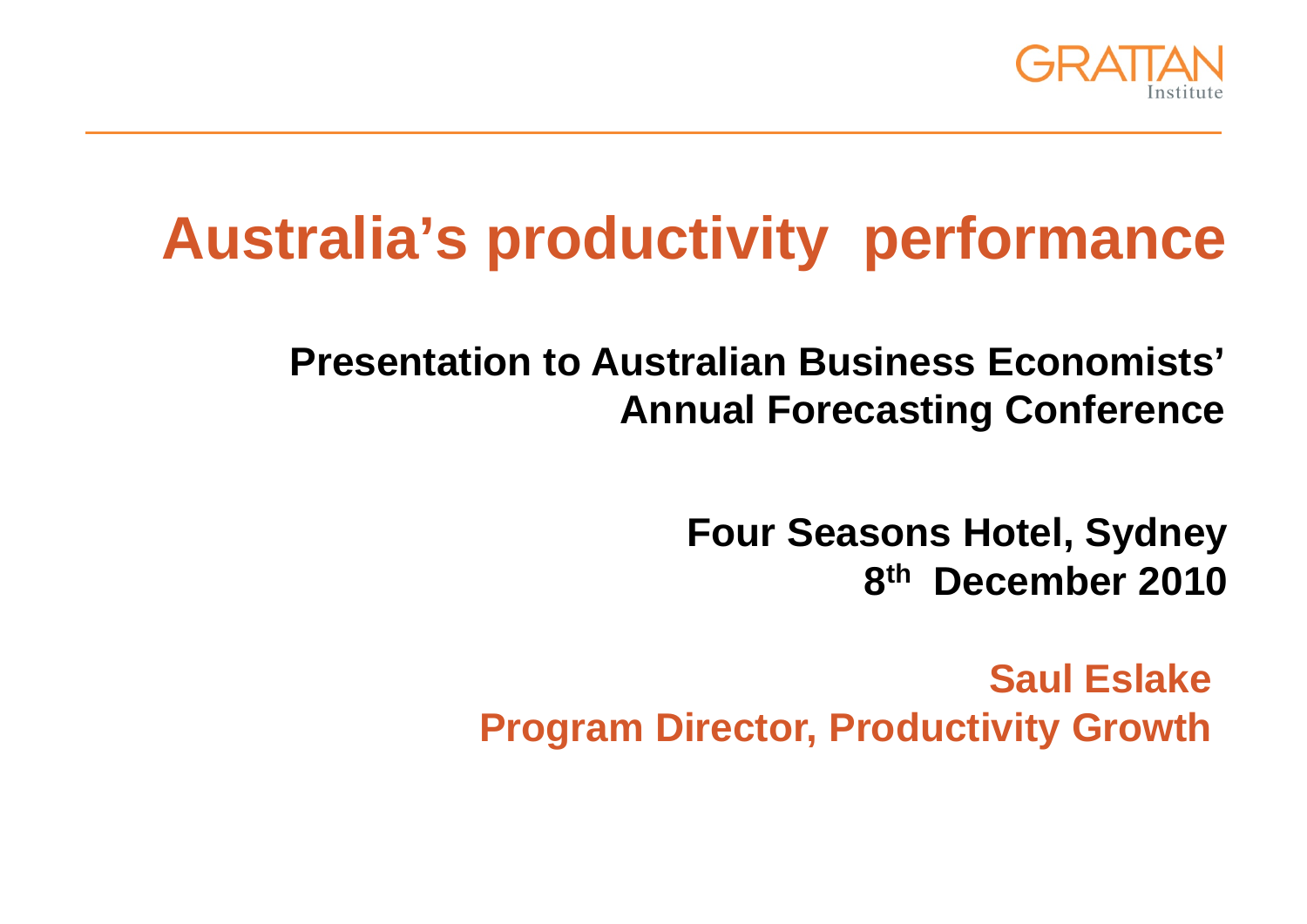

# **Australia's productivity performance**

**Presentation to Australian Business Economists' Annual Forecasting Conference**

> **Four Seasons Hotel, Sydney 8th December 2010**

**Saul EslakeProgram Director, Productivity Growth**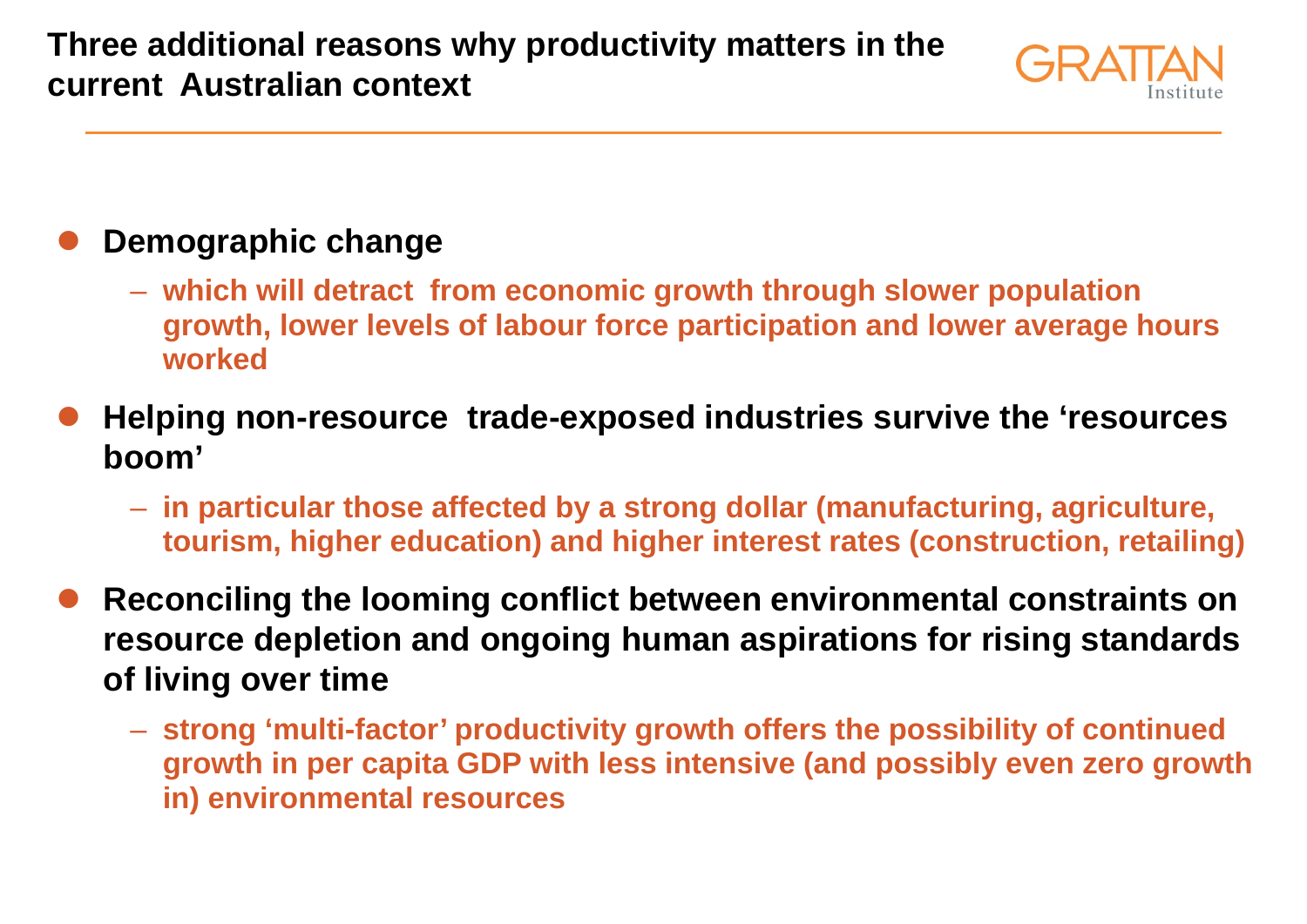**Three additional reasons why productivity matters in the current Australian context**



#### $\bullet$ **Demographic change**

- **which will detract from economic growth through slower population growth, lower levels of labour force participation and lower average hours worked**
- $\bullet$  **Helping non-resource trade-exposed industries survive the 'resources boom'**
	- **in particular those affected by a strong dollar (manufacturing, agriculture, tourism, higher education) and higher interest rates (construction, retailing)**
- $\bullet$  **Reconciling the looming conflict between environmental constraints on resource depletion and ongoing human aspirations for rising standards of living over time**
	- **strong 'multi-factor' productivity growth offers the possibility of continued growth in per capita GDP with less intensive (and possibly even zero growth in) environmental resources**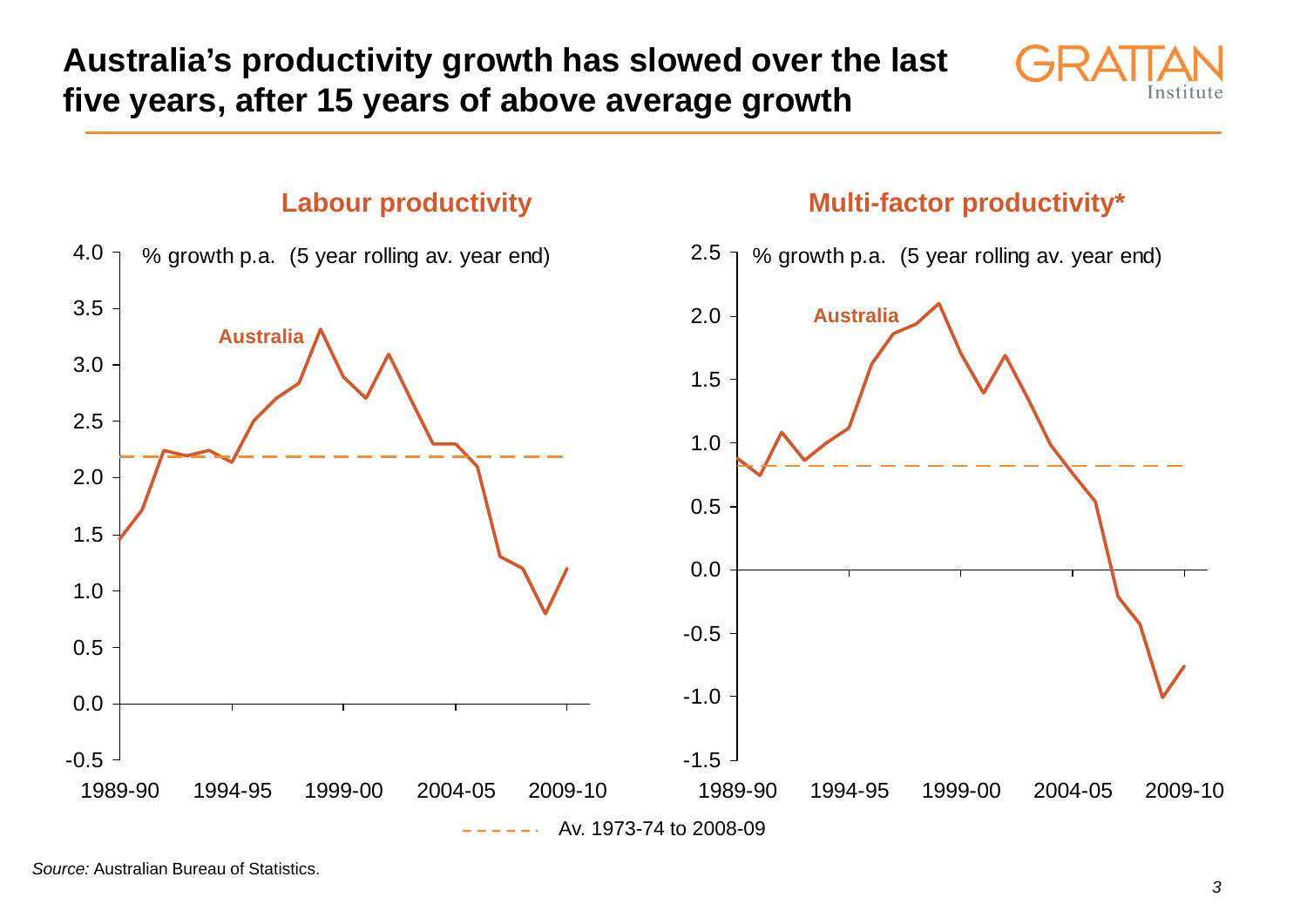**Australia's productivity growth has slowed over the last five years, after 15 years of above average growth**



### **Labour productivity** *Aulti-factor productivity\**



*Source:* Australian Bureau of Statistics.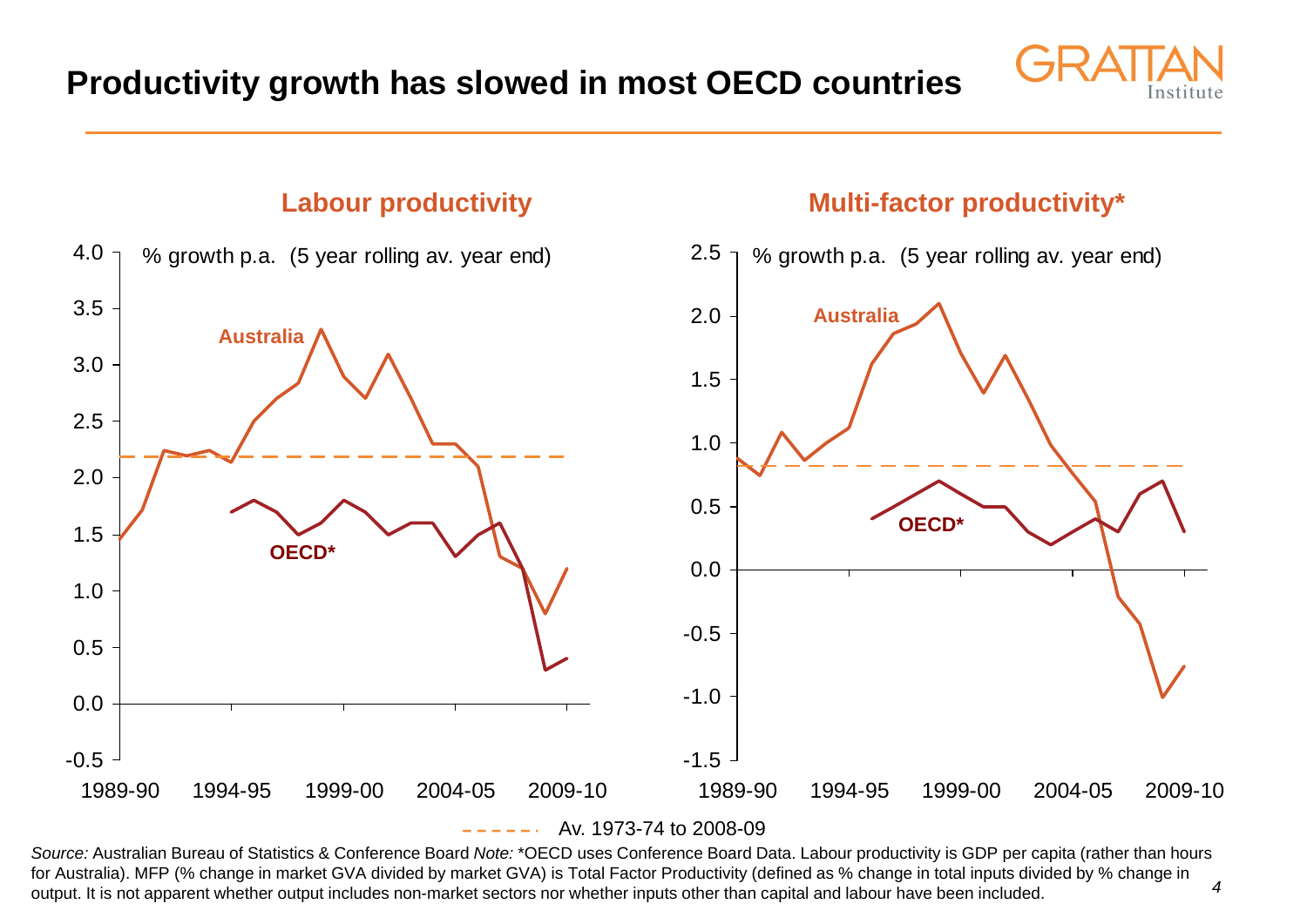

#### **Labour productivity** *Aulti-factor productivity Multi-factor productivity*



*4Source:* Australian Bureau of Statistics & Conference Board *Note:* \*OECD uses Conference Board Data. Labour productivity is GDP per capita (rather than hours for Australia). MFP (% change in market GVA divided by market GVA) is Total Factor Productivity (defined as % change in total inputs divided by % change in output. It is not apparent whether output includes non-market sectors nor whether inputs other than capital and labour have been included.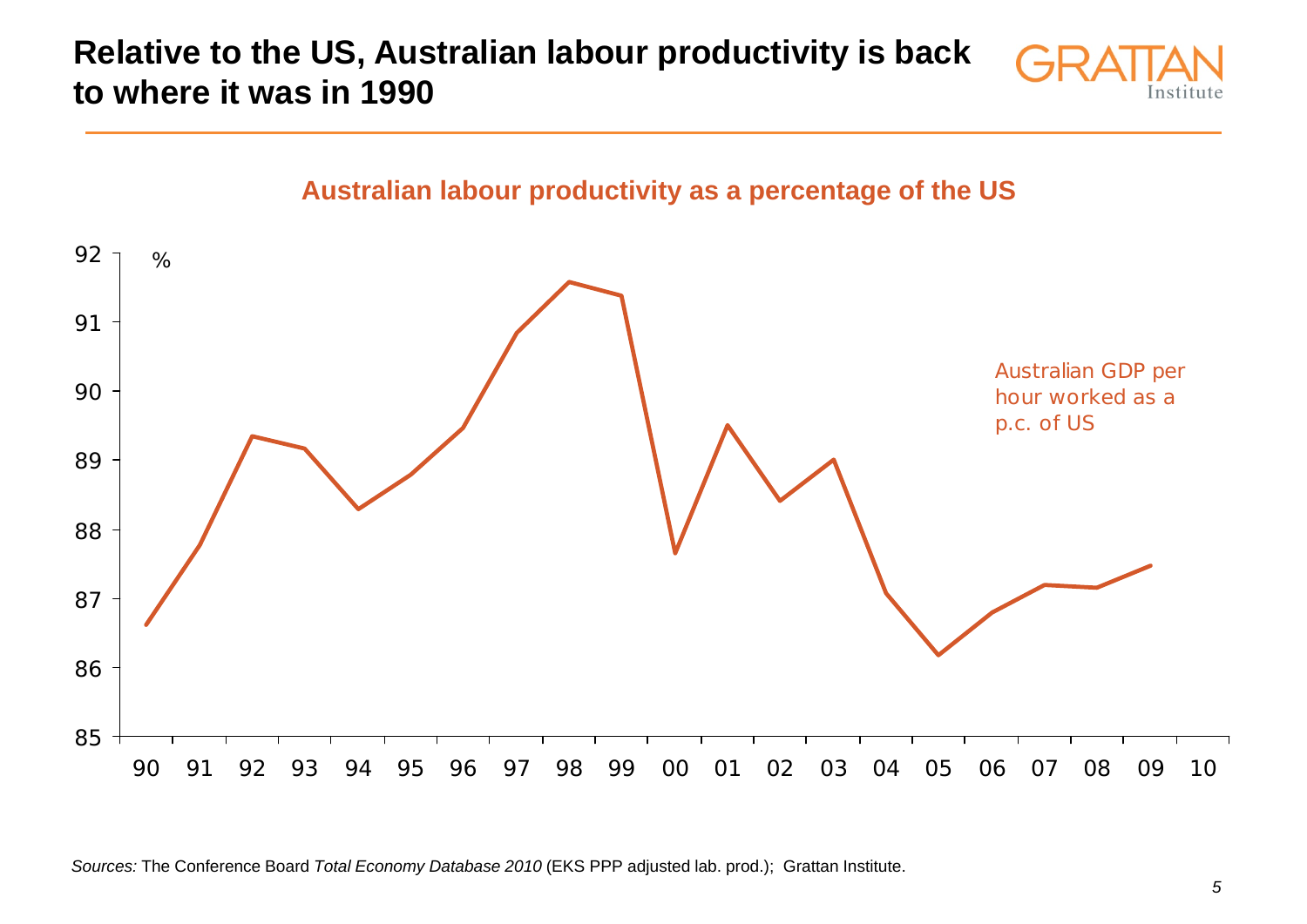**Relative to the US, Australian labour productivity is back to where it was in 1990**





**Australian labour productivity as a percentage of the US**

*Sources:* The Conference Board *Total Economy Database 2010* (EKS PPP adjusted lab. prod.); Grattan Institute.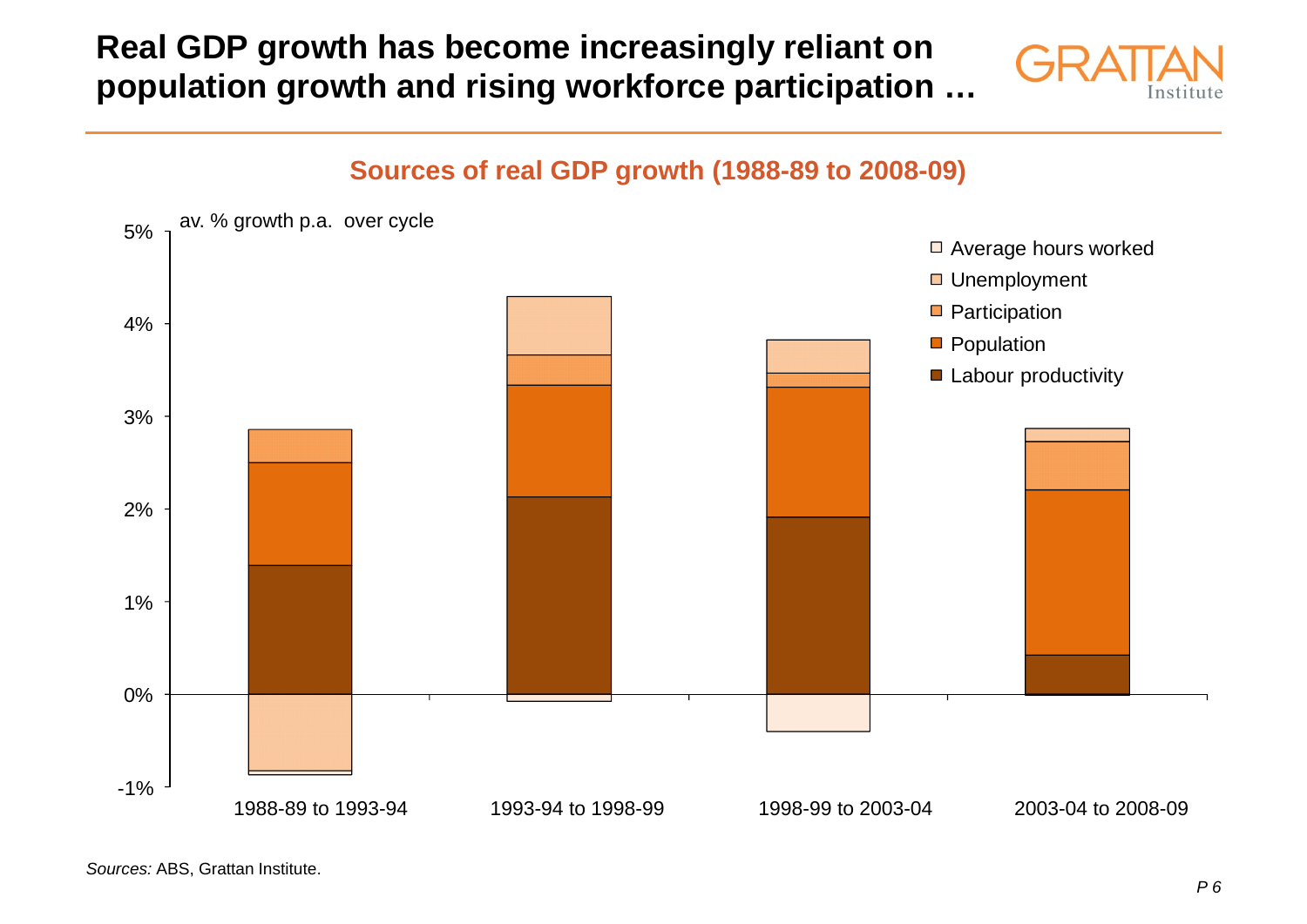# **Real GDP growth has become increasingly reliant on population growth and rising workforce participation …**



# -1%0%1%2%3%4%5%□ Average hours worked □ Unemployment **Participation Population Labour productivity** av. % growth p.a. over cycle

1988-89 to 1993-94 1993-94 to 1998-99 1998-99 to 2003-04 2003-04 to 2008-09

#### **Sources of real GDP growth (1988-89 to 2008-09)**

*Sources:* ABS, Grattan Institute.

2003-04 to 2008-09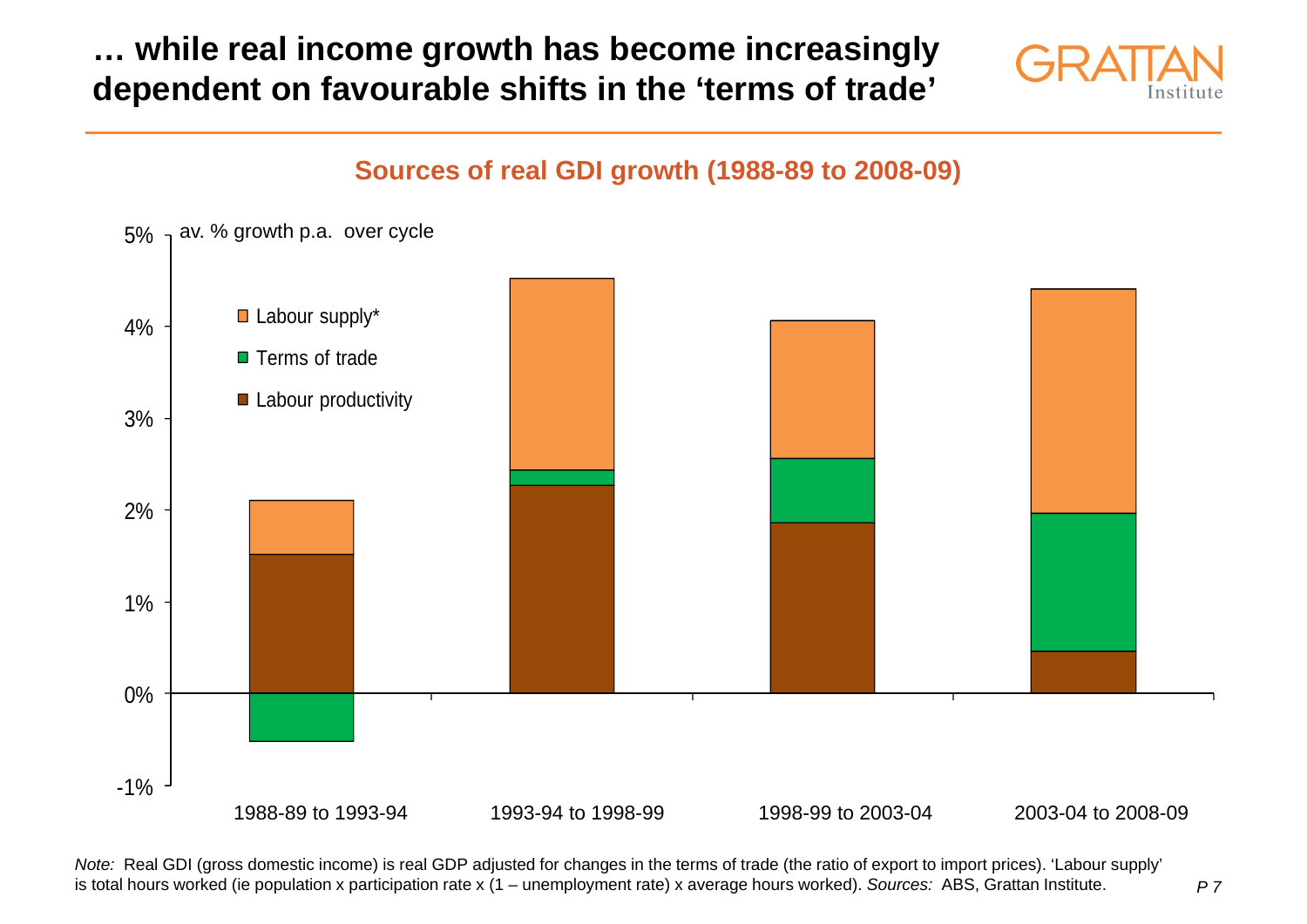## **… while real income growth has become increasingly dependent on favourable shifts in the 'terms of trade'**



### **Sources of real GDI growth (1988-89 to 2008-09)**



*Note:* Real GDI (gross domestic income) is real GDP adjusted for changes in the terms of trade (the ratio of export to import prices). 'Labour supply' is total hours worked (ie population x participation rate x (1 – unemployment rate) x average hours worked). *Sources:* ABS, Grattan Institute.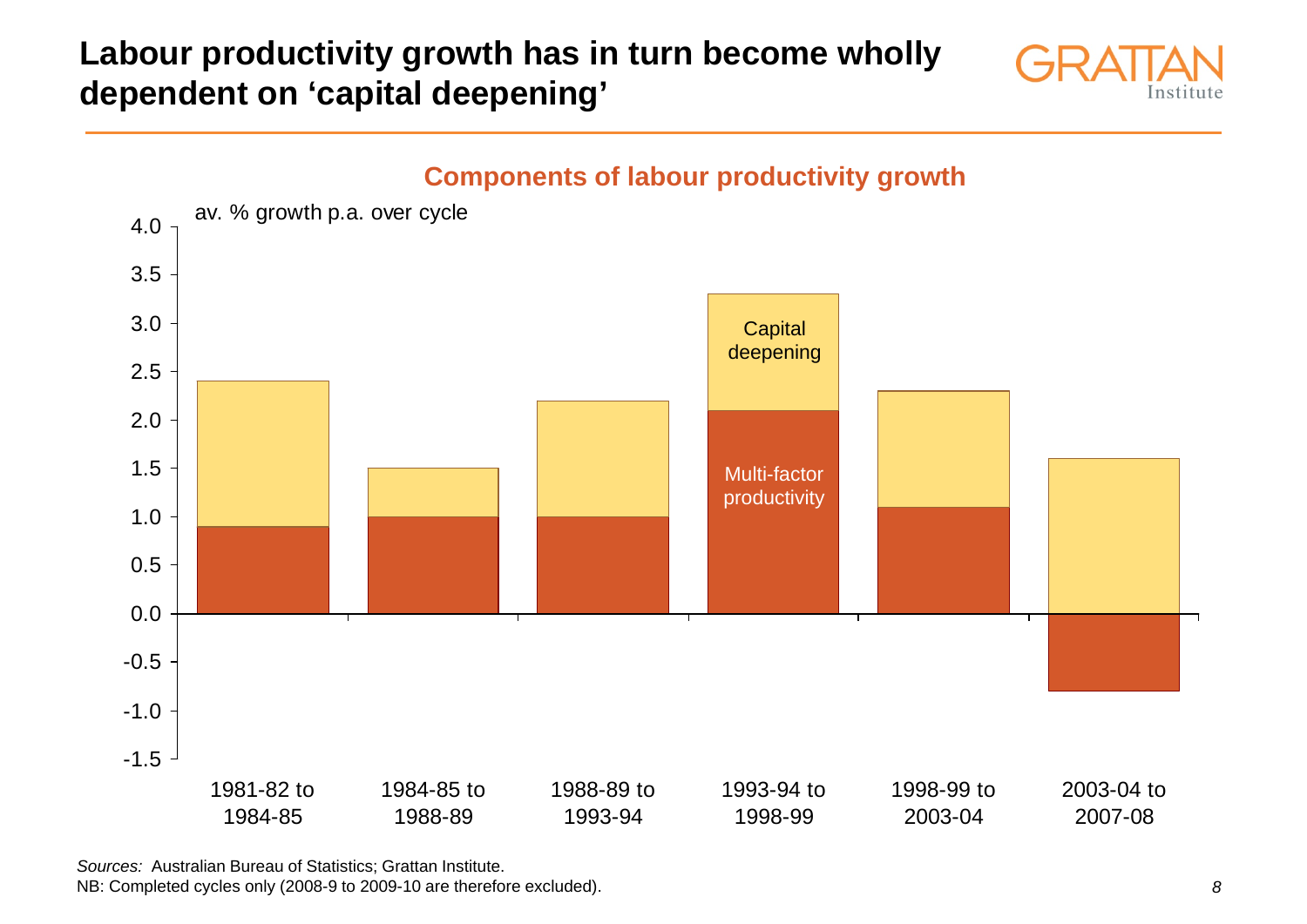# **Labour productivity growth has in turn become wholly dependent on 'capital deepening'**





*Sources:* Australian Bureau of Statistics; Grattan Institute. NB: Completed cycles only (2008-9 to 2009-10 are therefore excluded).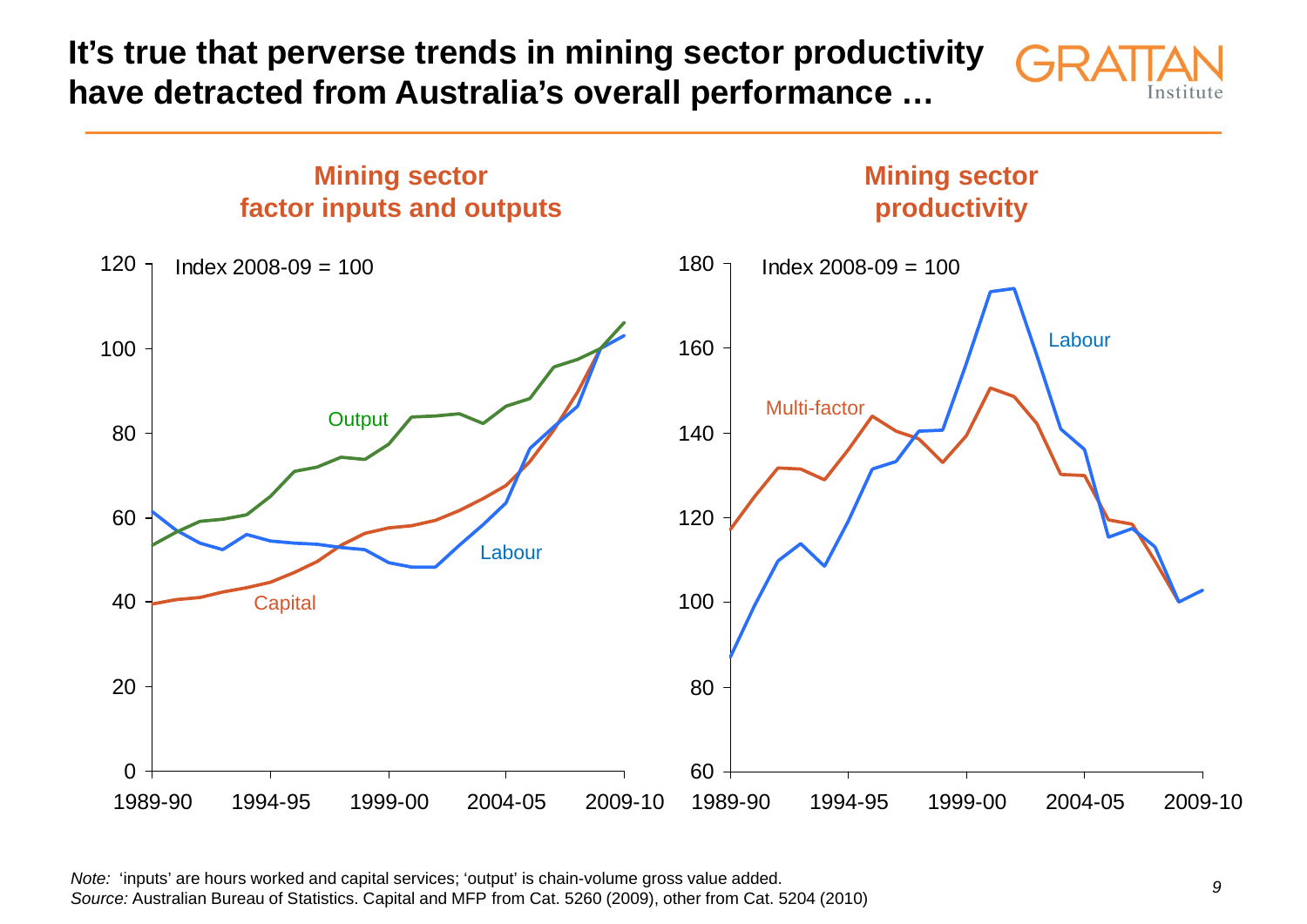**It's true that perverse trends in mining sector productivity have detracted from Australia's overall performance …**





*Note:* 'inputs' are hours worked and capital services; 'output' is chain-volume gross value added. *Source:* Australian Bureau of Statistics. Capital and MFP from Cat. 5260 (2009), other from Cat. 5204 (2010)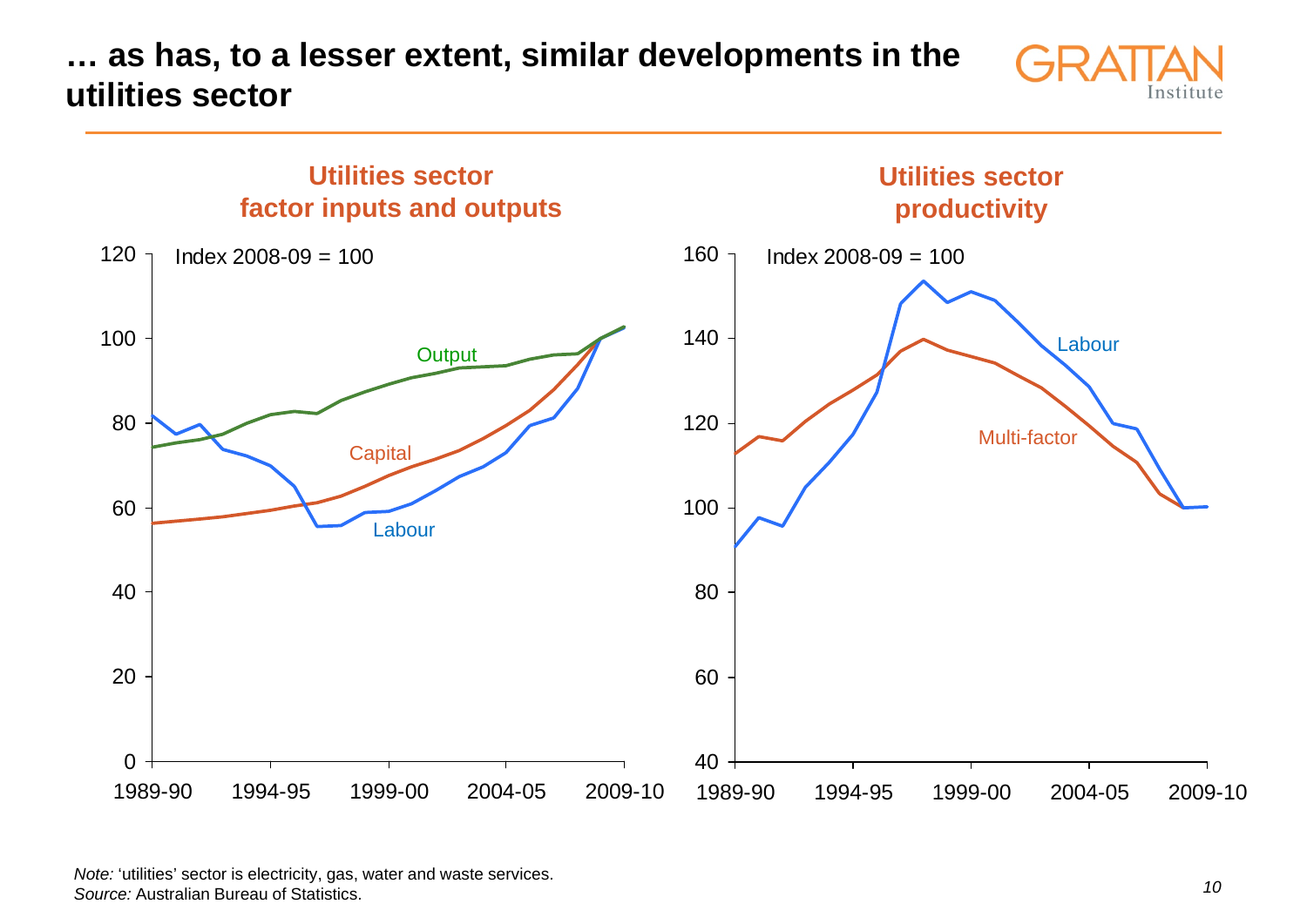**… as has, to a lesser extent, similar developments in the utilities sector**





*Note:* 'utilities' sector is electricity, gas, water and waste services. *Source:* Australian Bureau of Statistics.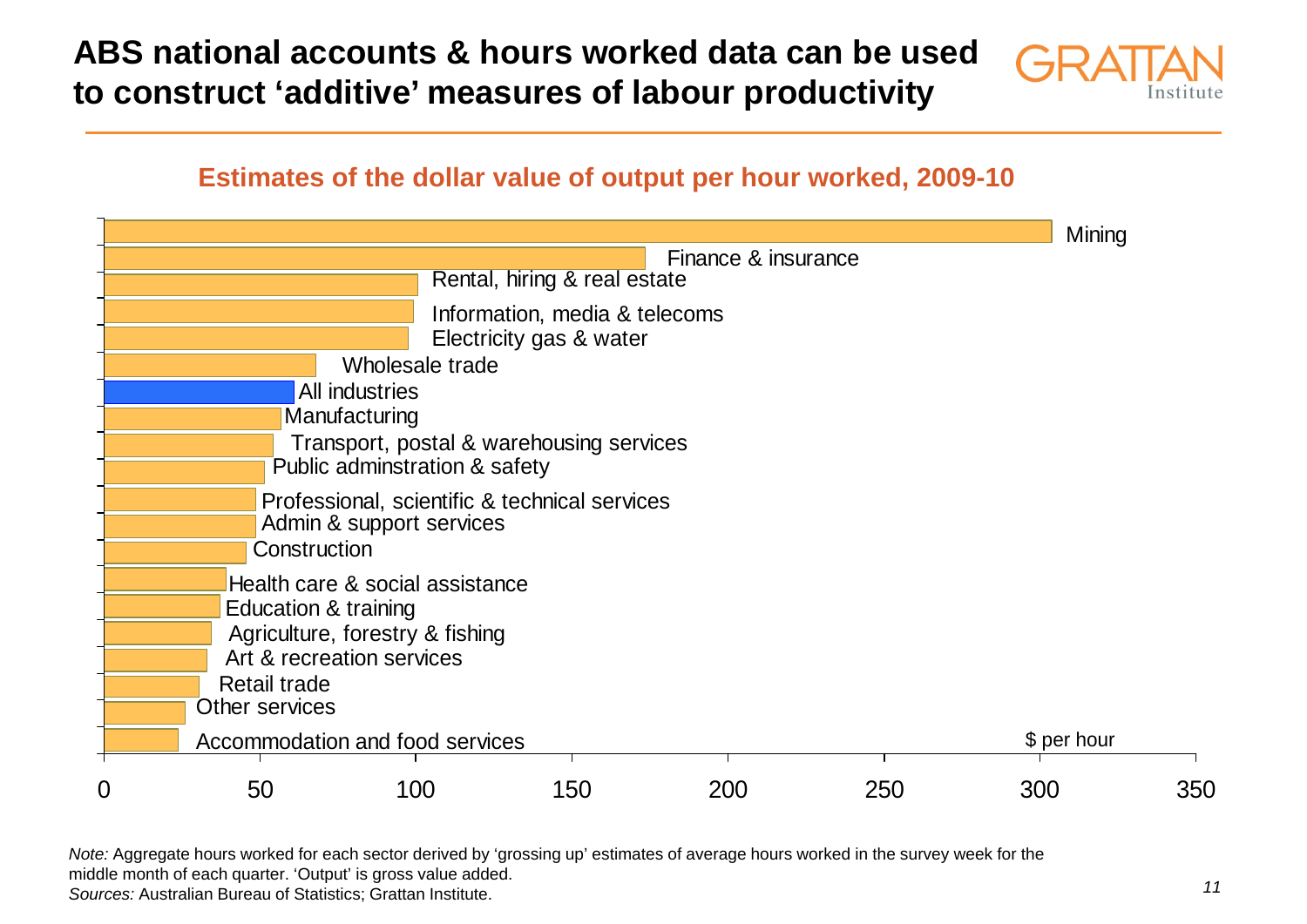**ABS national accounts & hours worked data can be used to construct 'additive' measures of labour productivity**

![](_page_10_Picture_1.jpeg)

### **Estimates of the dollar value of output per hour worked, 2009-10**

|                                                                                                                            |                                                     |                                 |     |     |     | Mining |     |
|----------------------------------------------------------------------------------------------------------------------------|-----------------------------------------------------|---------------------------------|-----|-----|-----|--------|-----|
|                                                                                                                            | Finance & insurance<br>Rental, hiring & real estate |                                 |     |     |     |        |     |
|                                                                                                                            |                                                     |                                 |     |     |     |        |     |
|                                                                                                                            | Information, media & telecoms                       |                                 |     |     |     |        |     |
|                                                                                                                            |                                                     | Electricity gas & water         |     |     |     |        |     |
|                                                                                                                            | Wholesale trade                                     |                                 |     |     |     |        |     |
|                                                                                                                            |                                                     | All industries                  |     |     |     |        |     |
|                                                                                                                            |                                                     | Manufacturing                   |     |     |     |        |     |
| Transport, postal & warehousing services<br>Public adminstration & safety<br>Professional, scientific & technical services |                                                     |                                 |     |     |     |        |     |
|                                                                                                                            |                                                     |                                 |     |     |     |        |     |
|                                                                                                                            |                                                     |                                 |     |     |     |        |     |
|                                                                                                                            |                                                     | Admin & support services        |     |     |     |        |     |
|                                                                                                                            | Construction                                        |                                 |     |     |     |        |     |
|                                                                                                                            |                                                     | Health care & social assistance |     |     |     |        |     |
|                                                                                                                            | Education & training                                |                                 |     |     |     |        |     |
|                                                                                                                            |                                                     | Agriculture, forestry & fishing |     |     |     |        |     |
|                                                                                                                            | Art & recreation services                           |                                 |     |     |     |        |     |
|                                                                                                                            | <b>Retail trade</b>                                 |                                 |     |     |     |        |     |
|                                                                                                                            | Other services                                      |                                 |     |     |     |        |     |
|                                                                                                                            | Accommodation and food services<br>\$ per hour      |                                 |     |     |     |        |     |
|                                                                                                                            |                                                     |                                 |     |     |     |        |     |
| 0                                                                                                                          | 50                                                  | 100                             | 150 | 200 | 250 | 300    | 350 |

*Note:* Aggregate hours worked for each sector derived by 'grossing up' estimates of average hours worked in the survey week for the middle month of each quarter. 'Output' is gross value added. *Sources:* Australian Bureau of Statistics; Grattan Institute.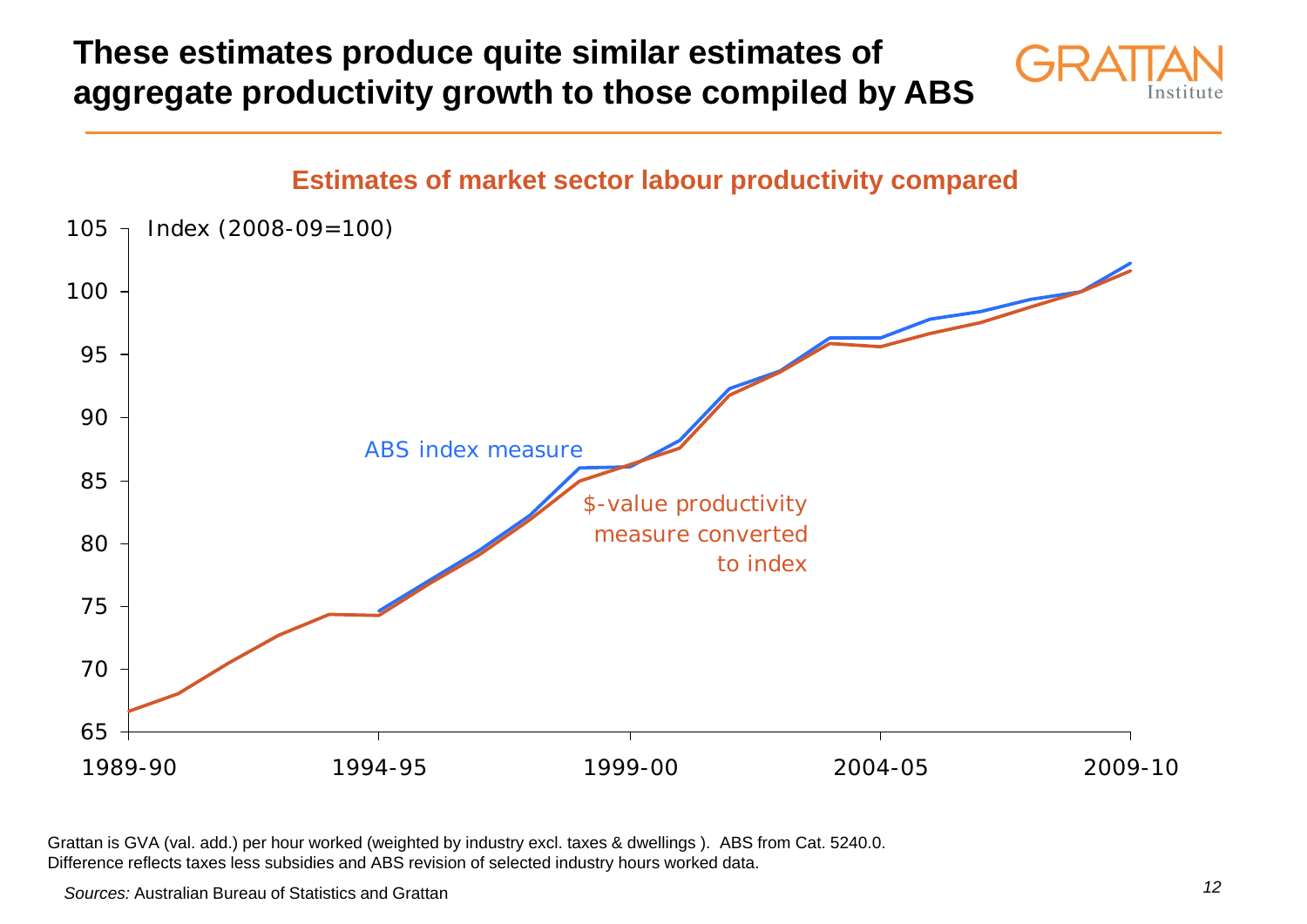**These estimates produce quite similar estimates of aggregate productivity growth to those compiled by ABS**

![](_page_11_Picture_1.jpeg)

#### **Estimates of market sector labour productivity compared**

![](_page_11_Figure_3.jpeg)

Grattan is GVA (val. add.) per hour worked (weighted by industry excl. taxes & dwellings ). ABS from Cat. 5240.0. Difference reflects taxes less subsidies and ABS revision of selected industry hours worked data.

*Sources:* Australian Bureau of Statistics and Grattan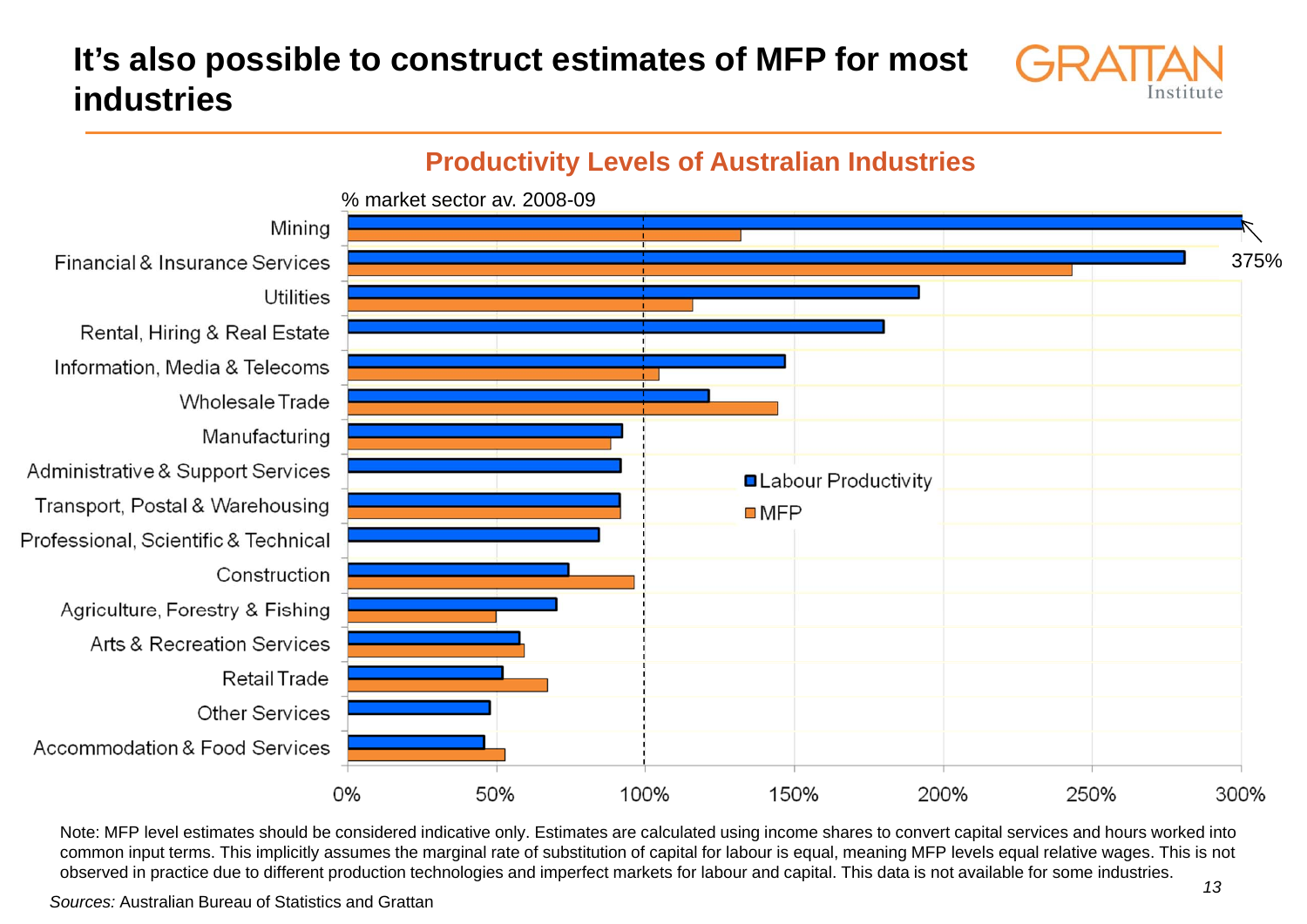# **It's also possible to construct estimates of MFP for most industries**

![](_page_12_Picture_1.jpeg)

#### **Productivity Levels of Australian Industries** % market sector av. 2008-09Mining Financial & Insurance Services 375%Utilities Rental, Hiring & Real Estate Information, Media & Telecoms Wholesale Trade Manufacturing Administrative & Support Services **QLabour Productivity** Transport, Postal & Warehousing  $MFP$ Professional, Scientific & Technical Construction Agriculture, Forestry & Fishing Arts & Recreation Services Retail Trade Other Services Accommodation & Food Services 0% 100% 150% 50% 200% 250% 300%

Note: MFP level estimates should be considered indicative only. Estimates are calculated using income shares to convert capital services and hours worked into common input terms. This implicitly assumes the marginal rate of substitution of capital for labour is equal, meaning MFP levels equal relative wages. This is not observed in practice due to different production technologies and imperfect markets for labour and capital. This data is not available for some industries.

*Sources:* Australian Bureau of Statistics and Grattan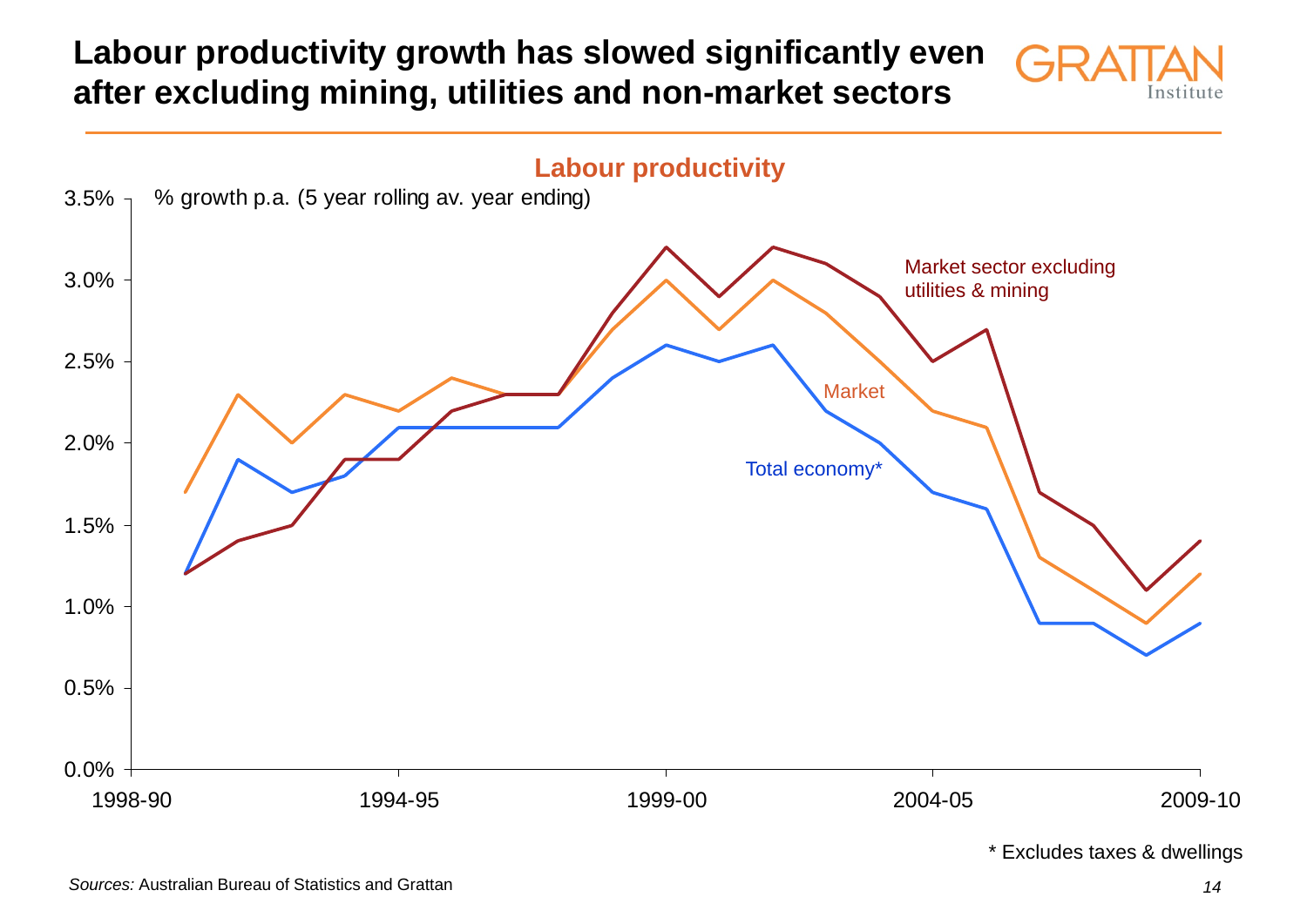# **Labour productivity growth has slowed significantly even after excluding mining, utilities and non-market sectors**

![](_page_13_Picture_1.jpeg)

\* Excludes taxes & dwellings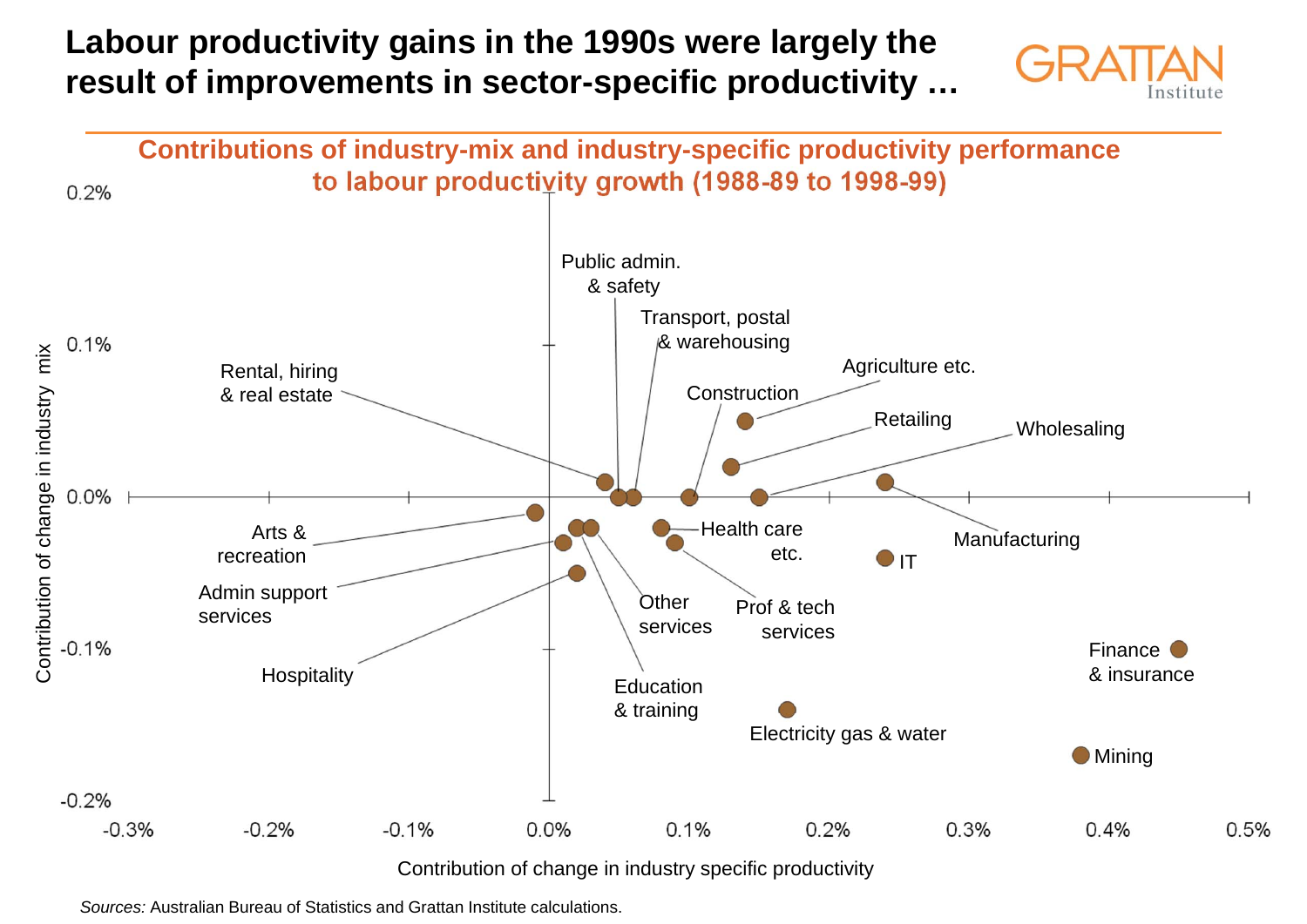### **Labour productivity gains in the 1990s were largely the result of improvements in sector-specific productivity …**

![](_page_14_Picture_1.jpeg)

![](_page_14_Figure_2.jpeg)

*Sources:* Australian Bureau of Statistics and Grattan Institute calculations.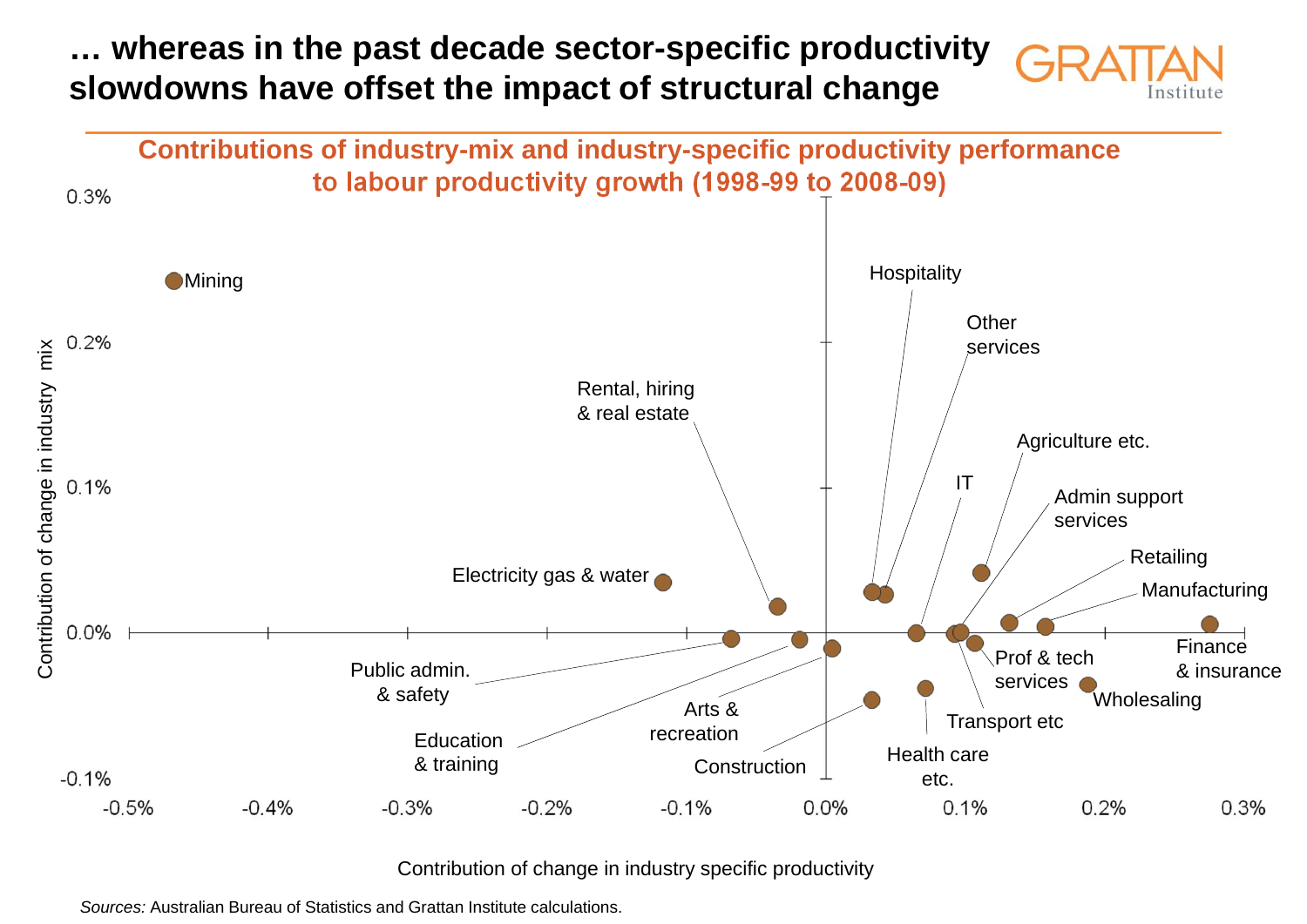# **… whereas in the past decade sector-specific productivity slowdowns have offset the impact of structural change**

![](_page_15_Picture_1.jpeg)

![](_page_15_Figure_2.jpeg)

#### Contribution of change in industry specific productivity

*Sources:* Australian Bureau of Statistics and Grattan Institute calculations.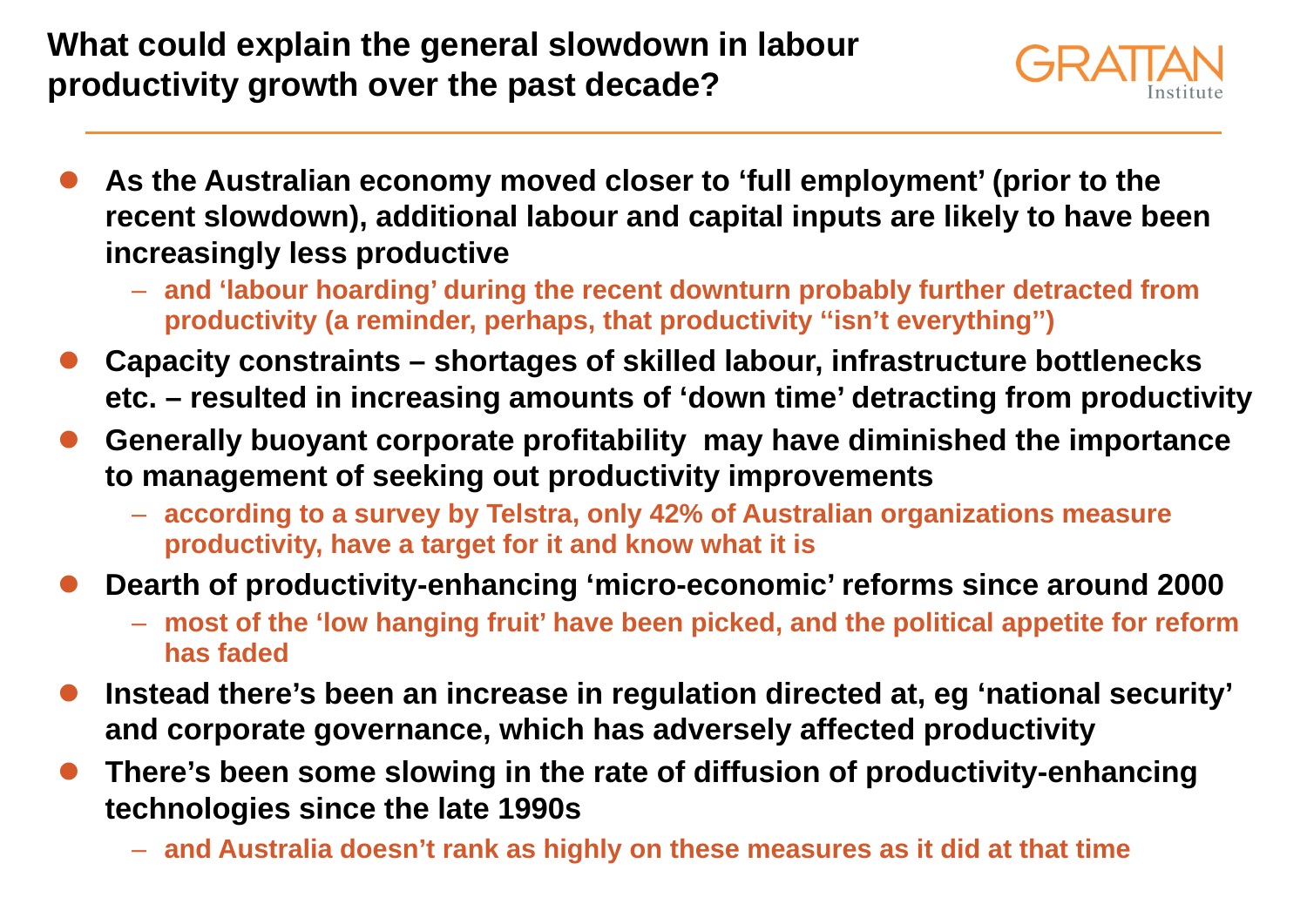# **What could explain the general slowdown in labour productivity growth over the past decade?**

![](_page_16_Picture_1.jpeg)

- $\bullet$  **As the Australian economy moved closer to 'full employment' (prior to the recent slowdown), additional labour and capital inputs are likely to have been increasingly less productive**
	- **and 'labour hoarding' during the recent downturn probably further detracted from productivity (a reminder, perhaps, that productivity ''isn't everything'')**
- $\bullet$  **Capacity constraints – shortages of skilled labour, infrastructure bottlenecks etc. – resulted in increasing amounts of 'down time' detracting from productivity**
- $\bullet$  **Generally buoyant corporate profitability may have diminished the importance to management of seeking out productivity improvements**
	- **according to a survey by Telstra, only 42% of Australian organizations measure productivity, have a target for it and know what it is**
- $\bullet$  **Dearth of productivity-enhancing 'micro-economic' reforms since around 2000**
	- **most of the 'low hanging fruit' have been picked, and the political appetite for reform has faded**
- $\bullet$  **Instead there's been an increase in regulation directed at, eg 'national security' and corporate governance, which has adversely affected productivity**
- $\bullet$  **There's been some slowing in the rate of diffusion of productivity-enhancing technologies since the late 1990s**
	- **and Australia doesn't rank as highly on these measures as it did at that time**